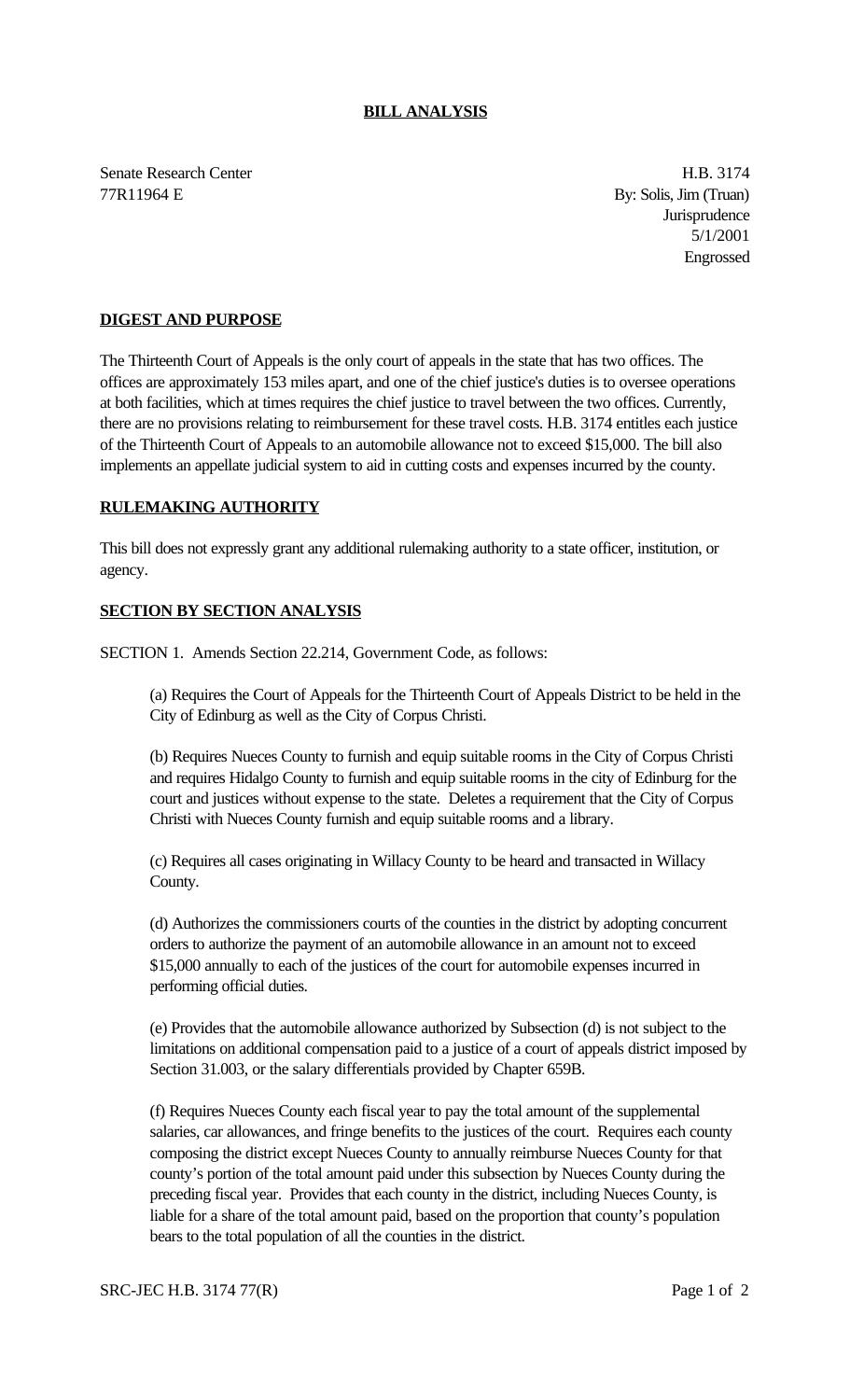## **BILL ANALYSIS**

Senate Research Center **H.B. 3174** 77R11964 E By: Solis, Jim (Truan)

**Jurisprudence** 5/1/2001 Engrossed

## **DIGEST AND PURPOSE**

The Thirteenth Court of Appeals is the only court of appeals in the state that has two offices. The offices are approximately 153 miles apart, and one of the chief justice's duties is to oversee operations at both facilities, which at times requires the chief justice to travel between the two offices. Currently, there are no provisions relating to reimbursement for these travel costs. H.B. 3174 entitles each justice of the Thirteenth Court of Appeals to an automobile allowance not to exceed \$15,000. The bill also implements an appellate judicial system to aid in cutting costs and expenses incurred by the county.

## **RULEMAKING AUTHORITY**

This bill does not expressly grant any additional rulemaking authority to a state officer, institution, or agency.

## **SECTION BY SECTION ANALYSIS**

SECTION 1. Amends Section 22.214, Government Code, as follows:

(a) Requires the Court of Appeals for the Thirteenth Court of Appeals District to be held in the City of Edinburg as well as the City of Corpus Christi.

(b) Requires Nueces County to furnish and equip suitable rooms in the City of Corpus Christi and requires Hidalgo County to furnish and equip suitable rooms in the city of Edinburg for the court and justices without expense to the state. Deletes a requirement that the City of Corpus Christi with Nueces County furnish and equip suitable rooms and a library.

(c) Requires all cases originating in Willacy County to be heard and transacted in Willacy County.

(d) Authorizes the commissioners courts of the counties in the district by adopting concurrent orders to authorize the payment of an automobile allowance in an amount not to exceed \$15,000 annually to each of the justices of the court for automobile expenses incurred in performing official duties.

(e) Provides that the automobile allowance authorized by Subsection (d) is not subject to the limitations on additional compensation paid to a justice of a court of appeals district imposed by Section 31.003, or the salary differentials provided by Chapter 659B.

(f) Requires Nueces County each fiscal year to pay the total amount of the supplemental salaries, car allowances, and fringe benefits to the justices of the court. Requires each county composing the district except Nueces County to annually reimburse Nueces County for that county's portion of the total amount paid under this subsection by Nueces County during the preceding fiscal year. Provides that each county in the district, including Nueces County, is liable for a share of the total amount paid, based on the proportion that county's population bears to the total population of all the counties in the district.